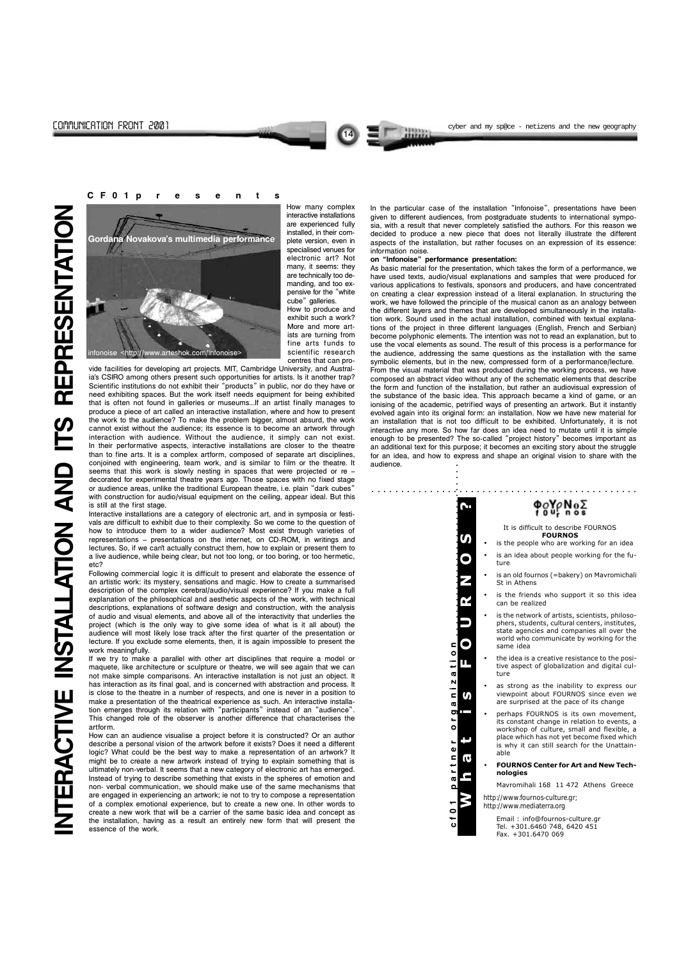14

How many complex interactive installations are experienced fully installed, in their complete version, even in specialised venues for electronic art? Not many, it seems: they are technically too demanding, and too expensive for the "white cube" galleries. How to produce and exhibit such a work? More and more artists are turning from fine arts funds to scientific research

centres that can provide facilities for developing art projects. MIT, Cambridge University, and Australia's CSIRO among others present such opportunities for artists. Is it another trap? Scientific institutions do not exhibit their "products" in public, nor do they have or need exhibiting spaces. But the work itself needs equipment for being exhibited that is often not found in galleries or museums...If an artist finally manages to produce a piece of art called an interactive installation, where and how to present the work to the audience? To make the problem bigger, almost absurd, the work cannot exist without the audience; its essence is to become an artwork through interaction with audience. Without the audience, it simply can not exist. In their performative aspects, interactive installations are closer to the theatre than to fine arts. It is a complex artform, composed of separate art disciplines, conjoined with engineering, team work, and is similar to film or the theatre. It seems that this work is slowly nesting in spaces that were projected or re decorated for experimental theatre years ago. Those spaces with no fixed stage or audience areas, unlike the traditional European theatre, i.e. plain "dark cubes" with construction for audio/visual equipment on the ceiling, appear ideal. But this is still at the first stage.

Interactive installations are a category of electronic art, and in symposia or festivals are difficult to exhibit due to their complexity. So we come to the question of how to introduce them to a wider audience? Most exist through varieties of representations - presentations on the internet, on CD-ROM, in writings and lectures. So, if we cant actually construct them, how to explain or present them to a live audience, while being clear, but not too long, or too boring, or too hermetic, etc?

In the particular case of the installation "Infonoise", presentations have been given to different audiences, from postgraduate students to international symposia, with a result that never completely satisfied the authors. For this reason we decided to produce a new piece that does not literally illustrate the different aspects of the installation, but rather focuses on an expression of its essence: information noise.

### on "Infonoise" performance presentation:

Following commercial logic it is difficult to present and elaborate the essence of an artistic work: its mystery, sensations and magic. How to create a summarised description of the complex cerebral/audio/visual experience? If you make a full explanation of the philosophical and aesthetic aspects of the work, with technical descriptions, explanations of software design and construction, with the analysis of audio and visual elements, and above all of the interactivity that underlies the project (which is the only way to give some idea of what is it all about) the audience will most likely lose track after the first quarter of the presentation or lecture. If you exclude some elements, then, it is again impossible to present the work meaningfully.

If we try to make a parallel with other art disciplines that require a model or maquete, like architecture or sculpture or theatre, we will see again that we can not make simple comparisons. An interactive installation is not just an object. It has interaction as its final goal, and is concerned with abstraction and process. It is close to the theatre in a number of respects, and one is never in a position to make a presentation of the theatrical experience as such. An interactive installation emerges through its relation with "participants" instead of an "audience". This changed role of the observer is another difference that characterises the

artform.

How can an audience visualise a project before it is constructed? Or an author describe a personal vision of the artwork before it exists? Does it need a different logic? What could be the best way to make a representation of an artwork? It might be to create a new artwork instead of trying to explain something that is ultimately non-verbal. It seems that a new category of electronic art has emerged. Instead of trying to describe something that exists in the spheres of emotion and non- verbal communication, we should make use of the same mechanisms that are engaged in experiencing an artwork; ie not to try to compose a representation of a complex emotional experience, but to create a new one. In other words to create a new work that will be a carrier of the same basic idea and concept as the installation, having as a result an entirely new form that will present the essence of the work.

As basic material for the presentation, which takes the form of a performance, we have used texts, audio/visual explanations and samples that were produced for various applications to festivals, sponsors and producers, and have concentrated on creating a clear expression instead of a literal explanation. In structuring the work, we have followed the principle of the musical canon as an analogy between the different layers and themes that are developed simultaneously in the installation work. Sound used in the actual installation, combined with textual explanations of the project in three different languages (English, French and Serbian) become polyphonic elements. The intention was not to read an explanation, but to use the vocal elements as sound. The result of this process is a performance for the audience, addressing the same questions as the installation with the same symbolic elements, but in the new, compressed form of a performance/lecture. From the visual material that was produced during the working process, we have composed an abstract video without any of the schematic elements that describe the form and function of the installation, but rather an audiovisual expression of the substance of the basic idea. This approach became a kind of game, or an ionising of the academic, petrified ways of presenting an artwork. But it instantly evolved again into its original form: an installation. Now we have new material for an installation that is not too difficult to be exhibited. Unfortunately, it is not interactive any more. So how far does an idea need to mutate until it is simple enough to be presented? The so-called "project history" becomes important as an additional text for this purpose; it becomes an exciting story about the struggle for an idea, and how to express and shape an original vision to share with the audience.



CF01p r esents

| uununuu. |                                                                                                                                                                                                                                                                                     |  |
|----------|-------------------------------------------------------------------------------------------------------------------------------------------------------------------------------------------------------------------------------------------------------------------------------------|--|
|          | ଡ଼ୄୄୄୄୄୄୣୄୄୣୣୣଌ୳ୄୄୄୄୣୣଢ଼ୢଽ                                                                                                                                                                                                                                                          |  |
|          | It is difficult to describe FOURNOS<br><b>FOURNOS</b><br>is the people who are working for an idea                                                                                                                                                                                  |  |
|          | is an idea about people working for the fu-<br>ture                                                                                                                                                                                                                                 |  |
|          | is an old fournos (=bakery) on Mavromichali<br>St in Athens                                                                                                                                                                                                                         |  |
|          | is the friends who support it so this idea<br>can be realized                                                                                                                                                                                                                       |  |
|          | is the network of artists, scientists, philoso-<br>phers, students, cultural centers, institutes,<br>state agencies and companies all over the<br>world who communicate by working for the<br>⊆<br>same idea                                                                        |  |
|          | ٥<br>the idea is a creative resistance to the posi-<br>tive aspect of globalization and digital cul-<br>ture<br>ᢐ                                                                                                                                                                   |  |
|          | N<br>as strong as the inability to express our<br>viewpoint about FOURNOS since even we<br><b>S</b><br>c<br>are surprised at the pace of its change<br>œ                                                                                                                            |  |
|          | ō<br>Ш<br>perhaps FOURNOS is its own movement,<br><b>L</b><br>its constant change in relation to events, a<br>٥<br>workshop of culture, small and flexible, a<br>place which has not yet become fixed which<br>۰.<br>is why it can still search for the Unattain-<br>Φ<br>able<br>⊆ |  |
|          | Ω<br><b>FOURNOS Center for Art and New Tech-</b><br>-<br>nologies                                                                                                                                                                                                                   |  |
|          | Ф<br>Mayromihali 168 11 472 Athens Greece<br>Ω                                                                                                                                                                                                                                      |  |
|          | http://www.fournos-culture.gr;<br>http://www.mediaterra.org<br>0                                                                                                                                                                                                                    |  |
|          | Email: info@fournos-culture.gr<br>⊷<br>ပ<br>Tal +301 6460 748 6420 451                                                                                                                                                                                                              |  |